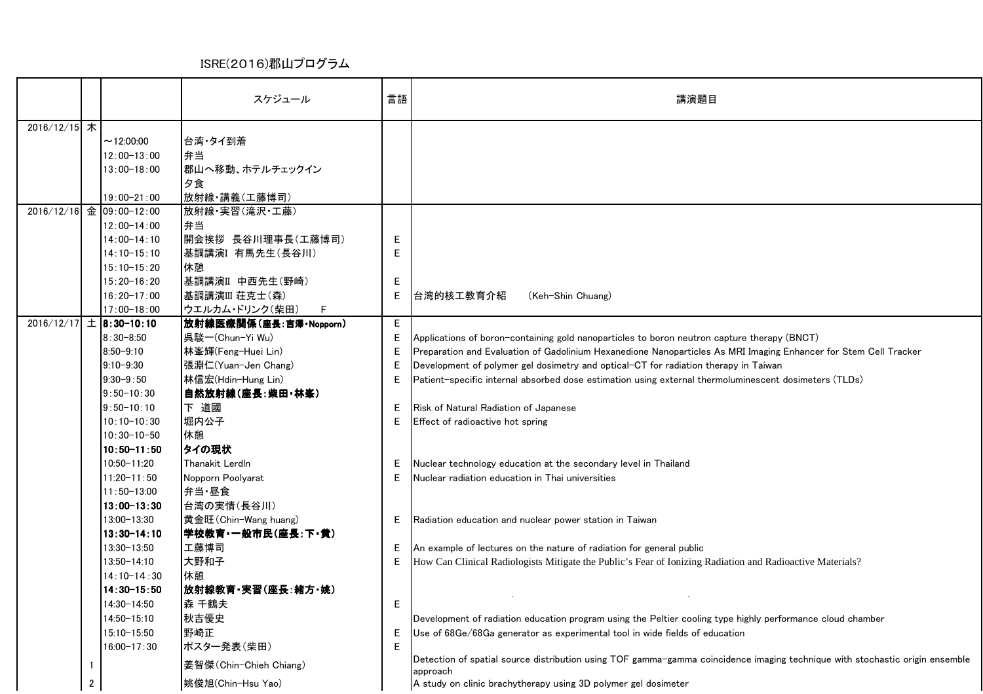## ISRE(2016)郡山プログラム

|              |              |                                | スケジュール                     | 言語     | 講演題目                                                                                                                         |
|--------------|--------------|--------------------------------|----------------------------|--------|------------------------------------------------------------------------------------------------------------------------------|
| 2016/12/15 木 |              |                                |                            |        |                                                                                                                              |
|              |              | ~12:00:00                      | 台湾・タイ到着                    |        |                                                                                                                              |
|              |              | $12:00 - 13:00$                | 弁当                         |        |                                                                                                                              |
|              |              | $13:00 - 18:00$                | 郡山へ移動、ホテルチェックイン            |        |                                                                                                                              |
|              |              |                                | 夕食                         |        |                                                                                                                              |
|              |              | $19:00 - 21:00$                | 放射線·講義(工藤博司)               |        |                                                                                                                              |
|              |              | 2016/12/16 金 09:00-12:00       | 放射線·実習(滝沢·工藤)              |        |                                                                                                                              |
|              |              | $12:00 - 14:00$                | 弁当                         |        |                                                                                                                              |
|              |              | $14:00 - 14:10$                | 開会挨拶 長谷川理事長(工藤博司)          | Е      |                                                                                                                              |
|              |              | $14:10 - 15:10$                | 基調講演Ⅰ 有馬先生(長谷川)            | Е      |                                                                                                                              |
|              |              | $15:10 - 15:20$                | 休憩                         |        |                                                                                                                              |
|              |              | $15:20 - 16:20$                | 基調講演Ⅱ 中西先生(野崎)             | Е      |                                                                                                                              |
|              |              | $16:20 - 17:00$                | 基調講演III 荘克士(森)             | Е      | 台湾的核工教育介紹<br>(Keh-Shin Chuang)                                                                                               |
|              |              | $17:00 - 18:00$                | ウエルカム・ドリンク(柴田)<br>F        |        |                                                                                                                              |
|              |              | $2016/12/17$ $\pm$ 8:30-10:10  | 放射線医療関係(座長:吉澤·Nopporn)     | E.     |                                                                                                                              |
|              |              | $8:30 - 8:50$                  | 呉駿-(Chun-Yi Wu)            | Е      | Applications of boron-containing gold nanoparticles to boron neutron capture therapy (BNCT)                                  |
|              |              | $8:50 - 9:10$                  | 林峯輝(Feng-Huei Lin)         | E      | Preparation and Evaluation of Gadolinium Hexanedione Nanoparticles As MRI Imaging Enhancer for Stem Cell Tracker             |
|              |              | $9:10 - 9:30$                  | 張淵仁(Yuan-Jen Chang)        | Е      | Development of polymer gel dosimetry and optical-CT for radiation therapy in Taiwan                                          |
|              |              | $9:30 - 9:50$                  | 林信宏(Hdin-Hung Lin)         | Е      | Patient-specific internal absorbed dose estimation using external thermoluminescent dosimeters (TLDs)                        |
|              |              | $9:50 - 10:30$                 | 自然放射線(座長:柴田·林峯)            |        |                                                                                                                              |
|              |              | $9:50 - 10:10$                 | 下道國                        | Е      | Risk of Natural Radiation of Japanese                                                                                        |
|              |              | $10:10 - 10:30$                | 堀内公子                       | Е      | Effect of radioactive hot spring                                                                                             |
|              |              | $10:30 - 10 - 50$              | 休憩<br>タイの現状                |        |                                                                                                                              |
|              |              | $10:50 - 11:50$<br>10:50-11:20 | Thanakit Lerdln            |        |                                                                                                                              |
|              |              | $11:20 - 11:50$                |                            | Е<br>Е | Nuclear technology education at the secondary level in Thailand                                                              |
|              |              | $11:50 - 13:00$                | Nopporn Poolyarat<br>弁当·昼食 |        | Nuclear radiation education in Thai universities                                                                             |
|              |              | $13:00 - 13:30$                | 台湾の実情(長谷川)                 |        |                                                                                                                              |
|              |              | 13:00-13:30                    | 黄金旺(Chin-Wang huang)       | E      | Radiation education and nuclear power station in Taiwan                                                                      |
|              |              | $13:30 - 14:10$                | 学校教育・一般市民(座長:下・黄)          |        |                                                                                                                              |
|              |              | 13:30-13:50                    | 工藤博司                       | E      | An example of lectures on the nature of radiation for general public                                                         |
|              |              | 13:50-14:10                    | 大野和子                       | E      | How Can Clinical Radiologists Mitigate the Public's Fear of Ionizing Radiation and Radioactive Materials?                    |
|              |              | $14:10-14:30$                  | 休憩                         |        |                                                                                                                              |
|              |              | $14:30 - 15:50$                | 放射線教育・実習(座長:緒方・姚)          |        |                                                                                                                              |
|              |              | 14:30-14:50                    | 森 千鶴夫                      | Е      |                                                                                                                              |
|              |              | 14:50-15:10                    | 秋吉優史                       |        | Development of radiation education program using the Peltier cooling type highly performance cloud chamber                   |
|              |              | 15:10-15:50                    | 野崎正                        | Е      | Use of 68Ge/68Ga generator as experimental tool in wide fields of education                                                  |
|              |              | $16:00 - 17:30$                | ポスター発表(柴田)                 | Е      |                                                                                                                              |
|              | $\mathbf{1}$ |                                | 姜智傑(Chin−Chieh Chiang)     |        | Detection of spatial source distribution using TOF gamma-gamma coincidence imaging technique with stochastic origin ensemble |
|              |              |                                | 姚俊旭(Chin-Hsu Yao)          |        | approach<br>A study on clinic brachytherapy using 3D polymer gel dosimeter                                                   |
|              | $2^{\circ}$  |                                |                            |        |                                                                                                                              |